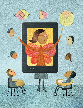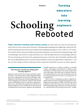## **feature Schooling** Rebooted Turning educators into learning engineers

*Today's education technology holds immense promise*, but what matters more than the tools themselves are how they are used in schools and in classrooms. In Breakthrough Leadership in the Digital Age, Frederick M. Hess and Bror Saxberg argue that educators have tended to think of adopting technology as a way to "reform" or "fix" schools. The would-be reformers have poured tablets and online learning software into classrooms, presuming that magic would eventually happen. But schools are complex and hard to move, while these efforts have been correspondingly unfocused. The more promising way forward involves tapping learning science to determine where the familiar schoolhouse falls short on providing deliberate practice, timely and copious feedback, and extensive opportunities to build mastery—and how new tools can help us do better. Following are three excerpts from the book that convey the core of their argument.

## **Why educators should start thinking like learning engineers.**

Engineers are the world's most creative and effective problem solvers. That's because they combine imaginative thinking with an appreciation for how the world really works. Engineers in any field operate by identifying problems to be solved, designing smart solutions consistent with relevant science, and figuring out how to make those solutions feasible. It's our contention that education has suffered for its dearth of engineers. In fact, we think, this is why so many of our debates seem to go nowhere. Engineers can bring fresh workable approaches to stubborn problems. As Donald Coduto, civil engineer and professor at California State Polytechnic University, Pomona, once wrote, "Some say the cup is half empty, while others say it is half full. However, in my opinion both are wrong. The real problem is the cup is too big. Sometimes all we need is a new perspective on an old problem."

When it comes to realizing the promise of digital technology, educators need to start approaching classroom challenges as learning engineers. While such a label may sound unfamiliar at first, stick with us for a moment. The fact is that learning engineering is what tech-savvy education leaders—and more than a few who aren't so tech-savvy—already

by FREDERICK M. HESS and BROR SAXBERG

ILLUSTRATION / JOYCE HESSELBERTH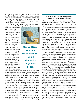do every day (whether they know it or not). These educators ask what problems need to be solved for students, turn to research to identify solutions, and devise smarter, better ways to promote terrific teaching and learning. What is education technology's role in all of this? Learning engineers see this technology as a tool, not a solution.

In fact, just about everything in a school, classroom, or learning environment should be regarded this way. And we mean

everything. For example, a team at Kaplan, Inc., an education provider that serves more than a million students a year, was frustrated that classroom furniture was compromising teaching and learning. While classroom furniture isn't usually regarded as an education technology, it should be. Tables and chairs are tools for learning, just like books, pencils, whiteboards, and laptops. In fact, a 2013 study from England's University of Salford found that classroom architecture and design factors like classroom orientation, natural light, noise, and use of space had a measurable impact on student learning.

Yet traditional classroom desks and chairs



Carpe Diem has one math teacher for all students in grades 6–12.

often make it tough for students to collaborate or rotate through activities without wasting time and disrupting instructional flow. In response, Kaplan started piloting new furniture designs from Steelcase, an office furniture company. The new chairs and tables can be easily reconfigured from a lecture-style class setting, to paired or group arrangements, and back again. Kaplan is now collecting data to see how the new configurations are actually working and what modifications are needed. This is learning engineering, applied to furniture.

We'd be surprised if Ford, General Electric, or Apple adopted new technological products without carefully scrutinizing what works, what doesn't, what's annoying, and why this is so. Think about how rapidly Internet firms like Amazon or Facebook modify their offerings in response to complaints and feedback. Indeed, designers take care to consider what science and research can teach them about aerodynamic efficiency, convenience, and the rest—and then they try it out, see what happens, try to rapidly fix mistakes, and keep going.

## **How developments in learning science inform the role of learning engineer.**

What we're talking about is not revolutionary. It's really nothing more than educators using learning science and technology to solve practical challenges. In a nutshell, that's what engineers do.

Sure, the familiar caricature of engineers is that they love differential equations and aren't much fun at parties. The reality is different (well, we make no claims about the parties). Engineers solve real-world problems. Lots of them. Repeatedly and creatively. They do this by taking scientific knowledge, applying it to the problem (whether that involves the strength of steel or the speed of computers), and designing the smartest solution they can find within financial and practical constraints. The best engineers seek optimal solutions that are easy to use well, that serve user needs, and that directly and practically solve the problem at hand. Think of those folks at Apple who cooked up the iPod, the iPhone, and the iPad—imagine if they were immersed in learning instead of semiconductor device science and consumer device usability. They're what we've got in mind.

Unlike scientists, engineers have to account for real-world complications. Ken Koedinger, codirector of the Pittsburgh Science of Learning Center, says of the difference between a scientist and an engineer, "Let me use physics and mechanical engineering as an analogy. Physics comes up with principles. But when engineers have to employ those principles, they have to deal with [practical questions] like the fact that the coefficient of friction depends on the surface that you're using. Engineering is a different game. Good learning design is not just about principles regarding how learning works, but about learning to apply those principles in a particular context."

Here's an easier example: Think of physicians as the engineers of biological science. Biologists explore how cells work, organs function, and molecules interact with each other and with bugs, but it's physicians who apply this knowledge to solve health problems for real patients. That winds up including asking questions like, "How do I keep this medicine refrigerated in the Serengeti?" Physicians know that what works in a lab is still a long way from working "out there" for a patient—and they pilot, train, and monitor accordingly.

The same is true for learning science and learning engineering. Learning science, for example, teaches that learning has to work through our limited, verbal, conscious minds ("working memory") before it becomes integrated into our rapid, parallel-processing, nonverbal long-term memory. Moreover, we've learned that this is only possible through lots of deliberate practice with targeted feedback. Unfortunately, this science does not reveal how to organize the work of teachers and students to actually do this, so,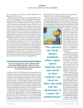## **feature** SCHOOLING REBOOTED HESS & SAXBERG

like any engineer, we still have to apply judgment to the application of the science.

Many factors can contribute to learning difficulties, like awful curricula, mediocre instruction, a lack of timely assessment and student feedback, a lack of discipline, or a student's inability to find time outside school to do what's asked. In many of these cases, technology may have a restorative role to play. But technology isn't always helpful. Indeed, sometimes it can be a distraction. Some readers may recall the early era of desktop publishing, when the earliest Macintosh computers allowed users to select fonts as they liked. Some of us (no names!) created documents festooned with fonts of different kinds, drunk on the opportunity to shift with every paragraph, every page, and every topic. Needless to say, that did not help with the clarity or accessibility of the writing.

Similarly, while we can now view a page from a biochemistry textbook on our iPhone, or even write a term paper on one, this does not mean it's wise to do so. The question is not what can be done with technology, but what technology can do to promote learning. When a principal bragged to us that a student had written a term paper on his smartphone, we could only wonder whether the principal would have bragged that the student wrote a term paper without using his smartphone. If not (and we presume the answer is "no"), then the principal was fixated on the technology rather than the learning. And that's a recipe for disappointment.

**Case study of the Carpe Diem Collegiate High School and Middle School in Yuma, Arizona, where the idea of thinking like a learning engineer has been put into practice.**

Founded in 2002 by Rick Ogston, former president of the Arizona Charter School Association, Carpe Diem explored a "blended" learning model, combining computer-assisted instruction with redesigned classrooms. Carpe Diem offers a radical twist on the familiar schoolhouse: more than 200 personal cubicles, each containing a computer, fill the single room that makes up one floor of the school. Hechinger Report journalist Nick Pandolfo has noted that it "looks more like an office or call center than a school." Students split their time between individualized online instruction on their personal computers and teacher-led collaborative workshops.

At the heart of the redesign was a desire to help students learn better. As Ogston explains, "Now, the chalkboard model may seem more 'efficient,' since you have a lot of people doing the same thing at the same time, but it's not very good for learning. I was looking to see how we could provide more individualized and personalized instruction for kids. And, at this point in time, the best way to do that is to leverage technology. Now if you can find a better way, great."

The key, Ogston says, is to understand technology as a tool rather than some kind of secret sauce. He says, "When you're leveraging technology like we are, people want to look at us in terms of technology. But the secret sauce is not the technology, it's the relationships. The downstairs is the collaborative social learning environment, and the upstairs looks like a call cen-



"The upstairs [of Carpe Diem's building] offers space that's separate and non-social so that students can focus on their own path and the downstairs is a place for collaboration."

ter. People say this looks impersonal. I say, 'Well, as opposed to a classroom with rows of desks and a teacher lecturing?' You know, that doesn't strike me as real personal, either. The upstairs offers space that's separate and nonsocial so that students can focus on their own path and the downstairs is a place for collaboration. That's the blend that we find works."

The Carpe Diem design required "the entire ecosystem to change, including the role of teacher, parent, student, and administrator," Ogston notes. The school has five teachers and four teacher aides for 226 students with each teacher teaching all the students in their subject, regardless of grade level.

So, for instance, Carpe Diem has one math teacher for all students in grades 6–12. It's not about economy, Ogston explains, but about cultivating relationships that can span across grade levels and reducing the learning curve required for teachers and students to start from scratch each year. Ogston says that teachers get to know their students, their career goals, their family, and their learning needs.

Ogston came to education not as a career educator